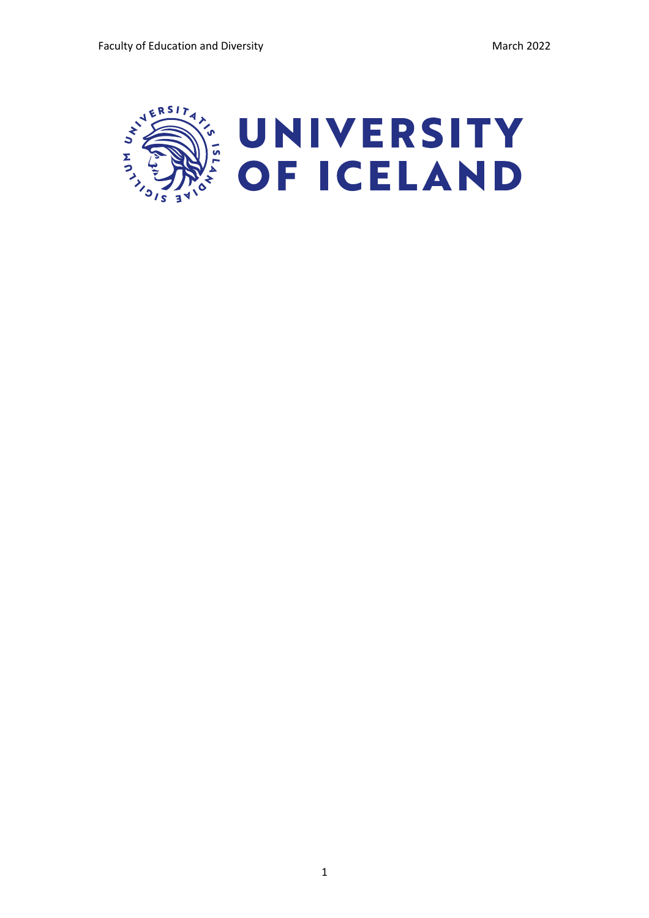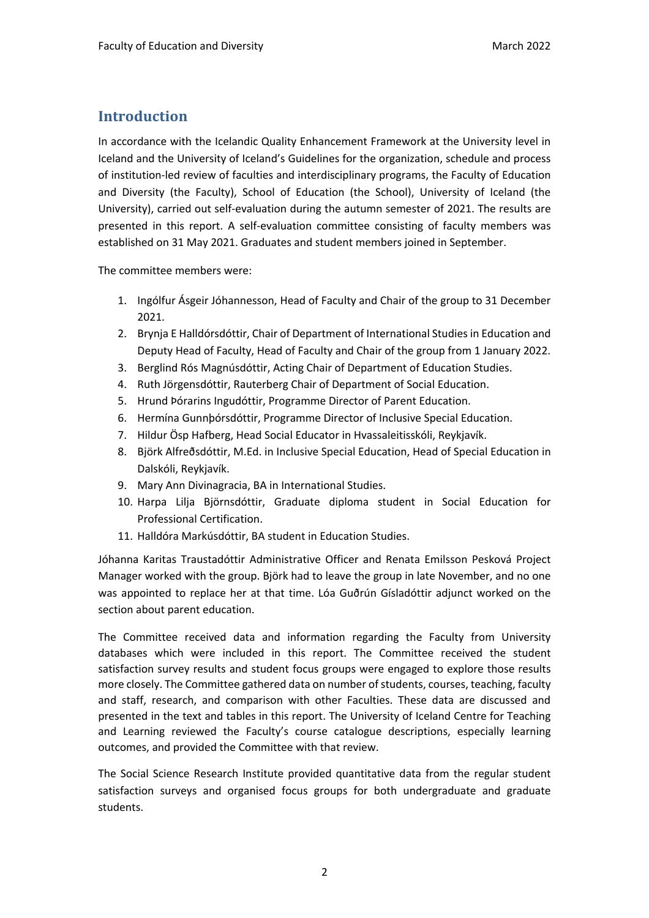## **Introduction**

In accordance with the Icelandic Quality Enhancement Framework at the University level in Iceland and the University of Iceland's Guidelines for the organization, schedule and process of institution-led review of faculties and interdisciplinary programs, the Faculty of Education and Diversity (the Faculty), School of Education (the School), University of Iceland (the University), carried out self-evaluation during the autumn semester of 2021. The results are presented in this report. A self-evaluation committee consisting of faculty members was established on 31 May 2021. Graduates and student members joined in September.

The committee members were:

- 1. Ingólfur Ásgeir Jóhannesson, Head of Faculty and Chair of the group to 31 December 2021.
- 2. Brynja E Halldórsdóttir, Chair of Department of International Studies in Education and Deputy Head of Faculty, Head of Faculty and Chair of the group from 1 January 2022.
- 3. Berglind Rós Magnúsdóttir, Acting Chair of Department of Education Studies.
- 4. Ruth Jörgensdóttir, Rauterberg Chair of Department of Social Education.
- 5. Hrund Þórarins Ingudóttir, Programme Director of Parent Education.
- 6. Hermína Gunnþórsdóttir, Programme Director of Inclusive Special Education.
- 7. Hildur Ösp Hafberg, Head Social Educator in Hvassaleitisskóli, Reykjavík.
- 8. Björk Alfreðsdóttir, M.Ed. in Inclusive Special Education, Head of Special Education in Dalskóli, Reykjavík.
- 9. Mary Ann Divinagracia, BA in International Studies.
- 10. Harpa Lilja Björnsdóttir, Graduate diploma student in Social Education for Professional Certification.
- 11. Halldóra Markúsdóttir, BA student in Education Studies.

Jóhanna Karitas Traustadóttir Administrative Officer and Renata Emilsson Pesková Project Manager worked with the group. Björk had to leave the group in late November, and no one was appointed to replace her at that time. Lóa Guðrún Gísladóttir adjunct worked on the section about parent education.

The Committee received data and information regarding the Faculty from University databases which were included in this report. The Committee received the student satisfaction survey results and student focus groups were engaged to explore those results more closely. The Committee gathered data on number of students, courses, teaching, faculty and staff, research, and comparison with other Faculties. These data are discussed and presented in the text and tables in this report. The University of Iceland Centre for Teaching and Learning reviewed the Faculty's course catalogue descriptions, especially learning outcomes, and provided the Committee with that review.

The Social Science Research Institute provided quantitative data from the regular student satisfaction surveys and organised focus groups for both undergraduate and graduate students.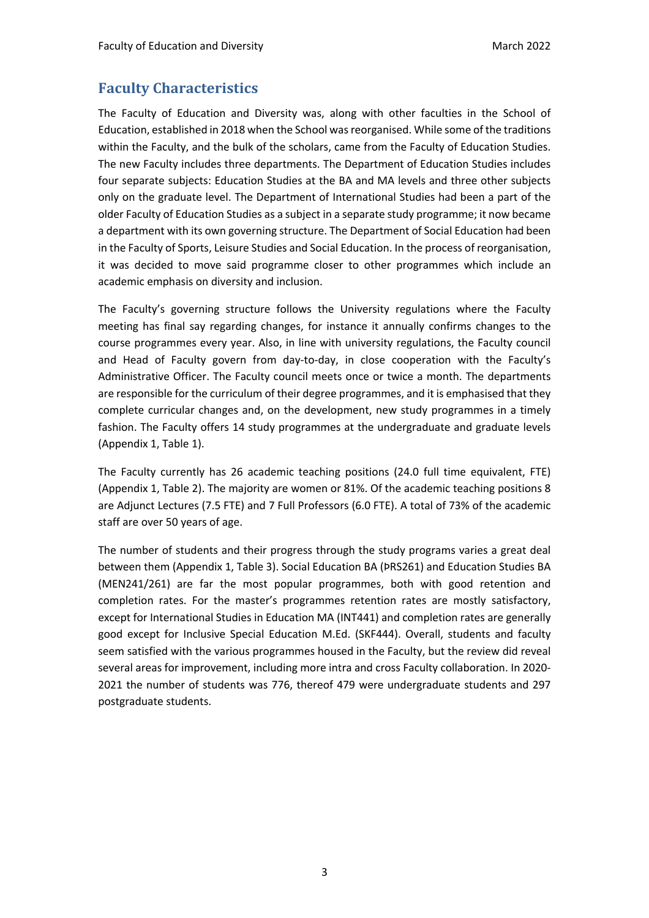## **Faculty Characteristics**

The Faculty of Education and Diversity was, along with other faculties in the School of Education, established in 2018 when the School was reorganised. While some of the traditions within the Faculty, and the bulk of the scholars, came from the Faculty of Education Studies. The new Faculty includes three departments. The Department of Education Studies includes four separate subjects: Education Studies at the BA and MA levels and three other subjects only on the graduate level. The Department of International Studies had been a part of the older Faculty of Education Studies as a subject in a separate study programme; it now became a department with its own governing structure. The Department of Social Education had been in the Faculty of Sports, Leisure Studies and Social Education. In the process of reorganisation, it was decided to move said programme closer to other programmes which include an academic emphasis on diversity and inclusion.

The Faculty's governing structure follows the University regulations where the Faculty meeting has final say regarding changes, for instance it annually confirms changes to the course programmes every year. Also, in line with university regulations, the Faculty council and Head of Faculty govern from day-to-day, in close cooperation with the Faculty's Administrative Officer. The Faculty council meets once or twice a month. The departments are responsible for the curriculum of their degree programmes, and it is emphasised that they complete curricular changes and, on the development, new study programmes in a timely fashion. The Faculty offers 14 study programmes at the undergraduate and graduate levels (Appendix 1, Table 1).

The Faculty currently has 26 academic teaching positions (24.0 full time equivalent, FTE) (Appendix 1, Table 2). The majority are women or 81%. Of the academic teaching positions 8 are Adjunct Lectures (7.5 FTE) and 7 Full Professors (6.0 FTE). A total of 73% of the academic staff are over 50 years of age.

The number of students and their progress through the study programs varies a great deal between them (Appendix 1, Table 3). Social Education BA (ÞRS261) and Education Studies BA (MEN241/261) are far the most popular programmes, both with good retention and completion rates. For the master's programmes retention rates are mostly satisfactory, except for International Studies in Education MA (INT441) and completion rates are generally good except for Inclusive Special Education M.Ed. (SKF444). Overall, students and faculty seem satisfied with the various programmes housed in the Faculty, but the review did reveal several areas for improvement, including more intra and cross Faculty collaboration. In 2020- 2021 the number of students was 776, thereof 479 were undergraduate students and 297 postgraduate students.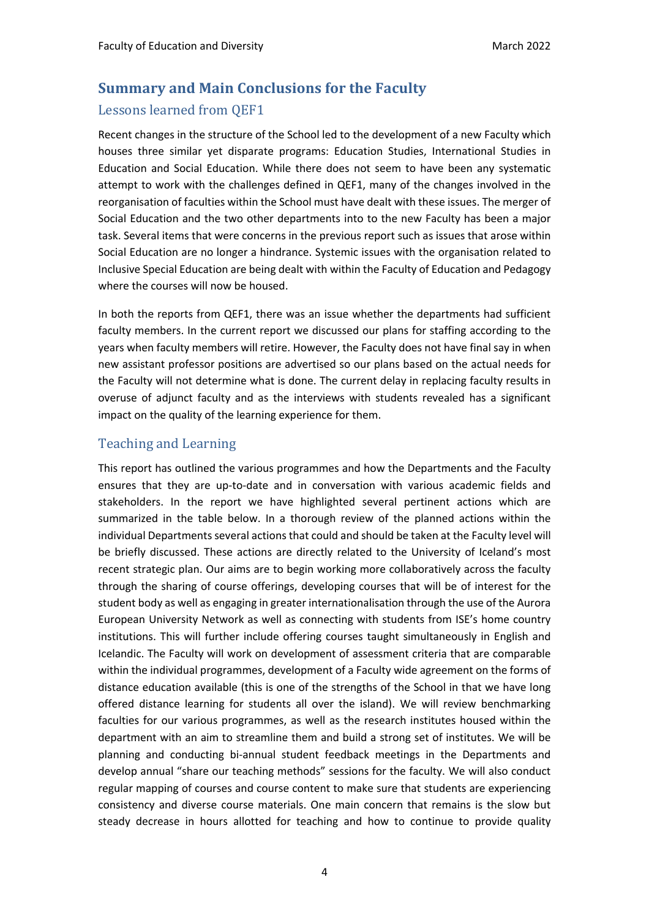## **Summary and Main Conclusions for the Faculty** Lessons learned from OEF1

Recent changes in the structure of the School led to the development of a new Faculty which houses three similar yet disparate programs: Education Studies, International Studies in Education and Social Education. While there does not seem to have been any systematic attempt to work with the challenges defined in QEF1, many of the changes involved in the reorganisation of faculties within the School must have dealt with these issues. The merger of Social Education and the two other departments into to the new Faculty has been a major task. Several items that were concerns in the previous report such as issues that arose within Social Education are no longer a hindrance. Systemic issues with the organisation related to Inclusive Special Education are being dealt with within the Faculty of Education and Pedagogy where the courses will now be housed.

In both the reports from QEF1, there was an issue whether the departments had sufficient faculty members. In the current report we discussed our plans for staffing according to the years when faculty members will retire. However, the Faculty does not have final say in when new assistant professor positions are advertised so our plans based on the actual needs for the Faculty will not determine what is done. The current delay in replacing faculty results in overuse of adjunct faculty and as the interviews with students revealed has a significant impact on the quality of the learning experience for them.

## Teaching and Learning

This report has outlined the various programmes and how the Departments and the Faculty ensures that they are up-to-date and in conversation with various academic fields and stakeholders. In the report we have highlighted several pertinent actions which are summarized in the table below. In a thorough review of the planned actions within the individual Departments several actions that could and should be taken at the Faculty level will be briefly discussed. These actions are directly related to the University of Iceland's most recent strategic plan. Our aims are to begin working more collaboratively across the faculty through the sharing of course offerings, developing courses that will be of interest for the student body as well as engaging in greater internationalisation through the use of the Aurora European University Network as well as connecting with students from ISE's home country institutions. This will further include offering courses taught simultaneously in English and Icelandic. The Faculty will work on development of assessment criteria that are comparable within the individual programmes, development of a Faculty wide agreement on the forms of distance education available (this is one of the strengths of the School in that we have long offered distance learning for students all over the island). We will review benchmarking faculties for our various programmes, as well as the research institutes housed within the department with an aim to streamline them and build a strong set of institutes. We will be planning and conducting bi-annual student feedback meetings in the Departments and develop annual "share our teaching methods" sessions for the faculty. We will also conduct regular mapping of courses and course content to make sure that students are experiencing consistency and diverse course materials. One main concern that remains is the slow but steady decrease in hours allotted for teaching and how to continue to provide quality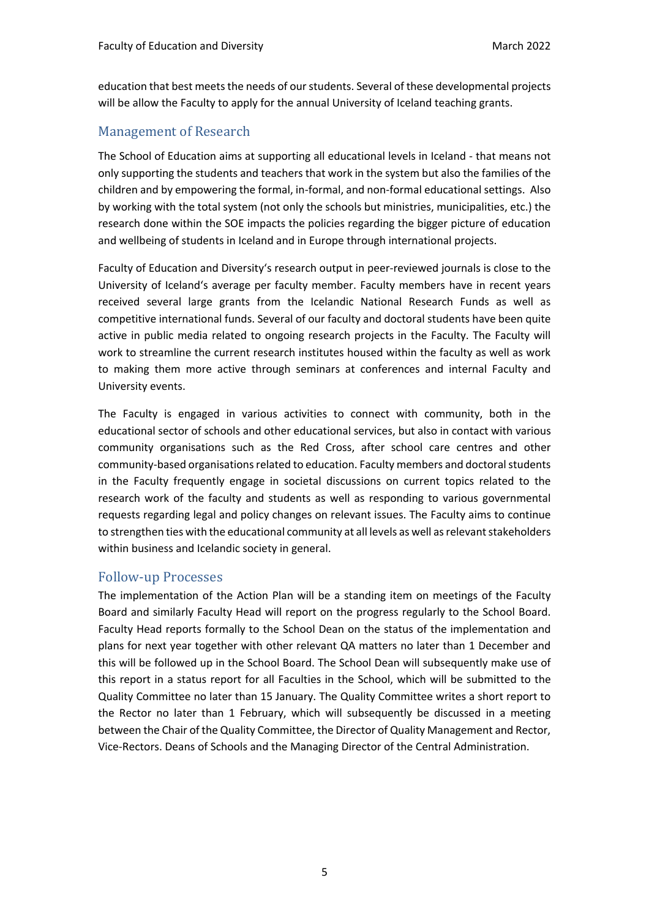education that best meets the needs of our students. Several of these developmental projects will be allow the Faculty to apply for the annual University of Iceland teaching grants.

### Management of Research

The School of Education aims at supporting all educational levels in Iceland - that means not only supporting the students and teachers that work in the system but also the families of the children and by empowering the formal, in-formal, and non-formal educational settings. Also by working with the total system (not only the schools but ministries, municipalities, etc.) the research done within the SOE impacts the policies regarding the bigger picture of education and wellbeing of students in Iceland and in Europe through international projects.

Faculty of Education and Diversity's research output in peer-reviewed journals is close to the University of Iceland's average per faculty member. Faculty members have in recent years received several large grants from the Icelandic National Research Funds as well as competitive international funds. Several of our faculty and doctoral students have been quite active in public media related to ongoing research projects in the Faculty. The Faculty will work to streamline the current research institutes housed within the faculty as well as work to making them more active through seminars at conferences and internal Faculty and University events.

The Faculty is engaged in various activities to connect with community, both in the educational sector of schools and other educational services, but also in contact with various community organisations such as the Red Cross, after school care centres and other community-based organisations related to education. Faculty members and doctoral students in the Faculty frequently engage in societal discussions on current topics related to the research work of the faculty and students as well as responding to various governmental requests regarding legal and policy changes on relevant issues. The Faculty aims to continue to strengthen ties with the educational community at all levels as well as relevant stakeholders within business and Icelandic society in general.

### Follow-up Processes

The implementation of the Action Plan will be a standing item on meetings of the Faculty Board and similarly Faculty Head will report on the progress regularly to the School Board. Faculty Head reports formally to the School Dean on the status of the implementation and plans for next year together with other relevant QA matters no later than 1 December and this will be followed up in the School Board. The School Dean will subsequently make use of this report in a status report for all Faculties in the School, which will be submitted to the Quality Committee no later than 15 January. The Quality Committee writes a short report to the Rector no later than 1 February, which will subsequently be discussed in a meeting between the Chair of the Quality Committee, the Director of Quality Management and Rector, Vice-Rectors. Deans of Schools and the Managing Director of the Central Administration.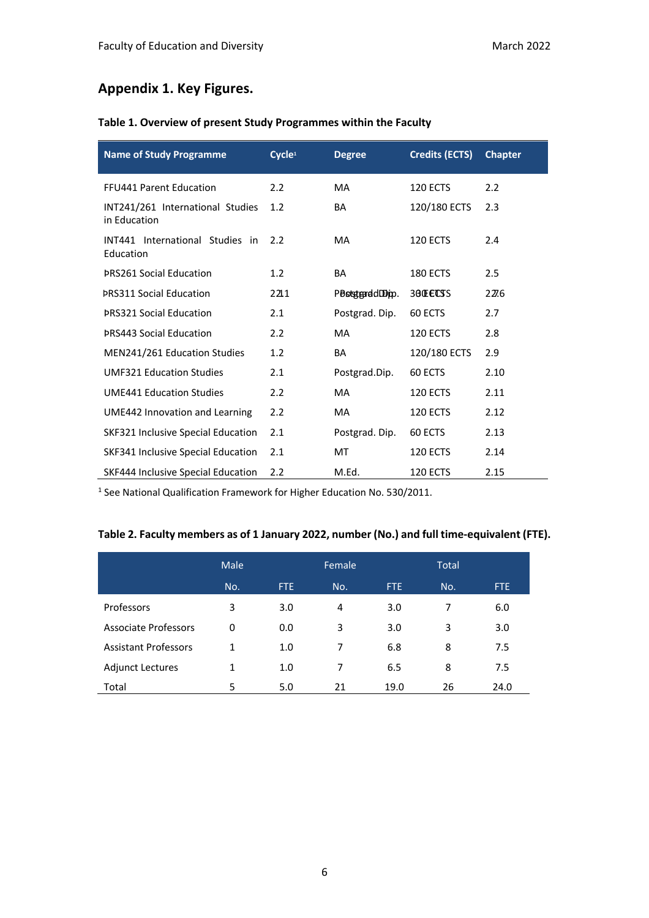## **Appendix 1. Key Figures.**

| <b>Name of Study Programme</b>                   | Cycle <sup>1</sup> | <b>Degree</b>   | <b>Credits (ECTS)</b> | <b>Chapter</b> |
|--------------------------------------------------|--------------------|-----------------|-----------------------|----------------|
| <b>FFU441 Parent Education</b>                   | 2.2                | <b>MA</b>       | <b>120 ECTS</b>       | 2.2            |
| INT241/261 International Studies<br>in Education | 1.2                | BA              | 120/180 ECTS          | 2.3            |
| INT441 International Studies in<br>Education     | $2.2^{\circ}$      | <b>MA</b>       | 120 ECTS              | 2.4            |
| <b>PRS261 Social Education</b>                   | 1.2                | BA              | <b>180 ECTS</b>       | 2.5            |
| <b>PRS311 Social Education</b>                   | 2211               | PoststranddDim. | 30 <b>ECSS</b>        | 22.6           |
| <b>PRS321 Social Education</b>                   | 2.1                | Postgrad. Dip.  | 60 ECTS               | 2.7            |
| <b>ÞRS443 Social Education</b>                   | 2.2                | <b>MA</b>       | 120 ECTS              | 2.8            |
| MEN241/261 Education Studies                     | 1.2                | BA              | 120/180 ECTS          | 2.9            |
| <b>UMF321 Education Studies</b>                  | 2.1                | Postgrad.Dip.   | 60 ECTS               | 2.10           |
| <b>UME441 Education Studies</b>                  | 2.2                | MA              | <b>120 ECTS</b>       | 2.11           |
| UME442 Innovation and Learning                   | 2.2                | MA.             | <b>120 ECTS</b>       | 2.12           |
| SKF321 Inclusive Special Education               | 2.1                | Postgrad. Dip.  | 60 ECTS               | 2.13           |
| SKF341 Inclusive Special Education               | 2.1                | MT              | <b>120 ECTS</b>       | 2.14           |
| SKF444 Inclusive Special Education               | 2.2                | M.Ed.           | <b>120 ECTS</b>       | 2.15           |

<sup>1</sup> See National Qualification Framework for Higher Education No. 530/2011.

## **Table 2. Faculty members as of 1 January 2022, number (No.) and full time-equivalent (FTE).**

|                             | Male |            | Female |      | <b>Total</b> |      |
|-----------------------------|------|------------|--------|------|--------------|------|
|                             | No.  | <b>FTE</b> | No.    | FTE. | No.          | FTE. |
| Professors                  | 3    | 3.0        | 4      | 3.0  | 7            | 6.0  |
| <b>Associate Professors</b> | 0    | 0.0        | 3      | 3.0  | 3            | 3.0  |
| <b>Assistant Professors</b> | 1    | 1.0        | 7      | 6.8  | 8            | 7.5  |
| <b>Adjunct Lectures</b>     | 1    | 1.0        | 7      | 6.5  | 8            | 7.5  |
| Total                       | 5    | 5.0        | 21     | 19.0 | 26           | 24.0 |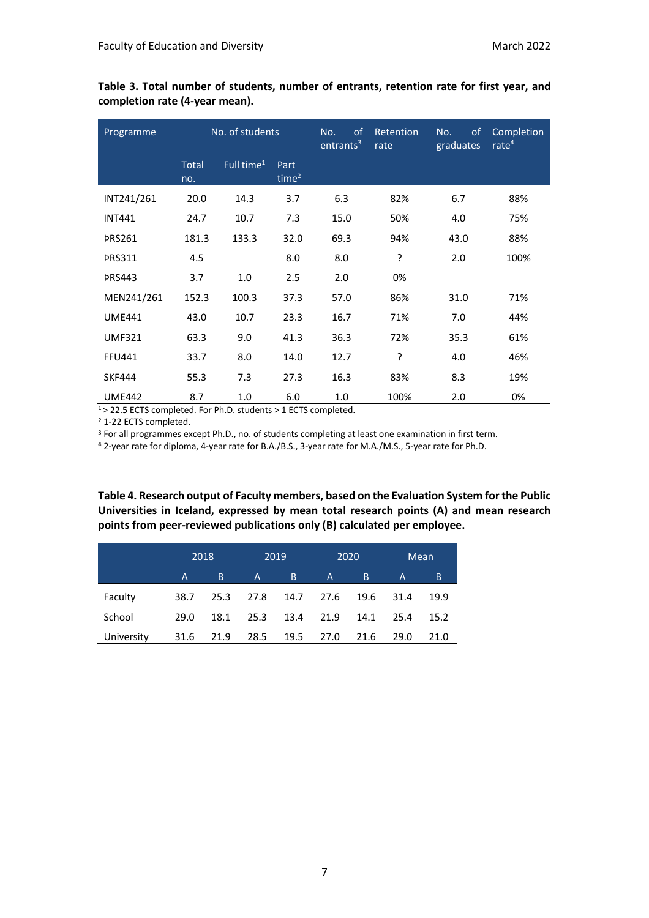| Programme     |              | No. of students        |                  | No.<br><sub>of</sub><br>entrants <sup>3</sup> | Retention<br>rate | of<br>No.<br>graduates | Completion<br>rate $4$ |
|---------------|--------------|------------------------|------------------|-----------------------------------------------|-------------------|------------------------|------------------------|
|               | Total<br>no. | Full time <sup>1</sup> | Part<br>time $2$ |                                               |                   |                        |                        |
| INT241/261    | 20.0         | 14.3                   | 3.7              | 6.3                                           | 82%               | 6.7                    | 88%                    |
| <b>INT441</b> | 24.7         | 10.7                   | 7.3              | 15.0                                          | 50%               | 4.0                    | 75%                    |
| <b>PRS261</b> | 181.3        | 133.3                  | 32.0             | 69.3                                          | 94%               | 43.0                   | 88%                    |
| <b>PRS311</b> | 4.5          |                        | 8.0              | 8.0                                           | ŗ                 | 2.0                    | 100%                   |
| <b>PRS443</b> | 3.7          | 1.0                    | 2.5              | 2.0                                           | 0%                |                        |                        |
| MEN241/261    | 152.3        | 100.3                  | 37.3             | 57.0                                          | 86%               | 31.0                   | 71%                    |
| <b>UME441</b> | 43.0         | 10.7                   | 23.3             | 16.7                                          | 71%               | 7.0                    | 44%                    |
| <b>UMF321</b> | 63.3         | 9.0                    | 41.3             | 36.3                                          | 72%               | 35.3                   | 61%                    |
| <b>FFU441</b> | 33.7         | 8.0                    | 14.0             | 12.7                                          | ŗ                 | 4.0                    | 46%                    |
| <b>SKF444</b> | 55.3         | 7.3                    | 27.3             | 16.3                                          | 83%               | 8.3                    | 19%                    |
| <b>UME442</b> | 8.7          | 1.0                    | 6.0              | 1.0                                           | 100%              | 2.0                    | 0%                     |

**Table 3. Total number of students, number of entrants, retention rate for first year, and completion rate (4-year mean).**

 $1$  > 22.5 ECTS completed. For Ph.D. students > 1 ECTS completed.

<sup>2</sup> 1-22 ECTS completed.

<sup>3</sup> For all programmes except Ph.D., no. of students completing at least one examination in first term.

<sup>4</sup> 2-year rate for diploma, 4-year rate for B.A./B.S., 3-year rate for M.A./M.S., 5-year rate for Ph.D.

**Table 4. Research output of Faculty members, based on the Evaluation System for the Public Universities in Iceland, expressed by mean total research points (A) and mean research points from peer-reviewed publications only (B) calculated per employee.**

|            |      | 2018 |              | 2019 |           | 2020 |      | Mean |
|------------|------|------|--------------|------|-----------|------|------|------|
|            | A    | B.   | $\mathsf{A}$ | B.   | A         | B    | A    | B.   |
| Faculty    | 38.7 | 25.3 | 27.8         |      | 14.7 27.6 | 19.6 | 31.4 | 19.9 |
| School     | 29.0 | 18.1 | 25.3         | 13.4 | 21.9      | 14.1 | 25.4 | 15.2 |
| University | 31.6 | 21.9 | 28.5         | 19.5 | 27.0      | 21.6 | 29.0 | 21.0 |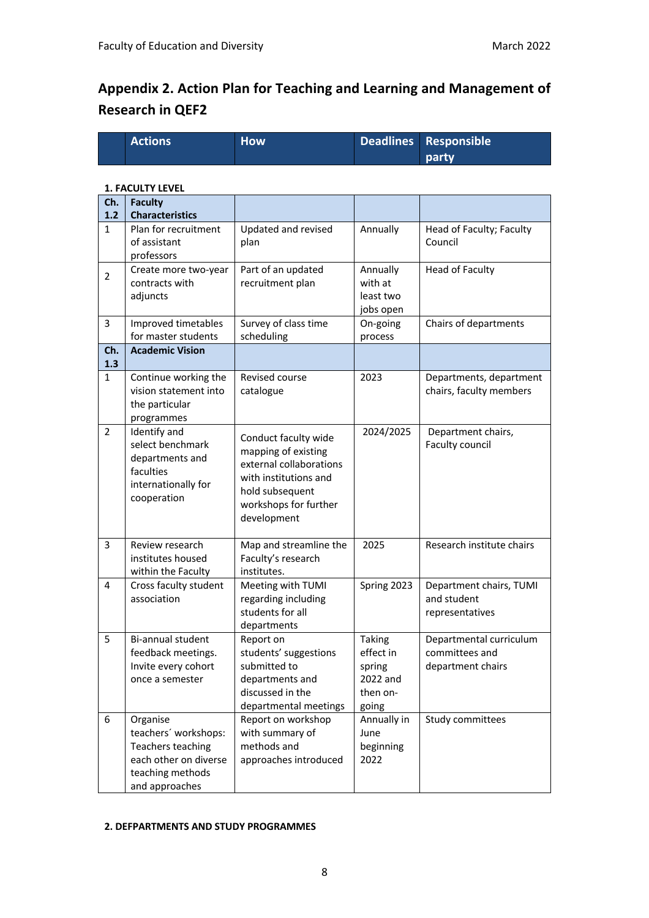# **Appendix 2. Action Plan for Teaching and Learning and Management of Research in QEF2**

| <b>Actions</b> | <b>How</b> | Deadlines Responsible |
|----------------|------------|-----------------------|
|                |            | party.                |

#### **1. FACULTY LEVEL**

| Ch.<br>1.2     | <b>Faculty</b><br><b>Characteristics</b>                                                                             |                                                                                                                                                            |                                                                |                                                                |
|----------------|----------------------------------------------------------------------------------------------------------------------|------------------------------------------------------------------------------------------------------------------------------------------------------------|----------------------------------------------------------------|----------------------------------------------------------------|
| $\mathbf{1}$   | Plan for recruitment<br>of assistant<br>professors                                                                   | Updated and revised<br>plan                                                                                                                                | Annually                                                       | Head of Faculty; Faculty<br>Council                            |
| $\overline{2}$ | Create more two-year<br>contracts with<br>adjuncts                                                                   | Part of an updated<br>recruitment plan                                                                                                                     | Annually<br>with at<br>least two<br>jobs open                  | <b>Head of Faculty</b>                                         |
| 3              | Improved timetables<br>for master students                                                                           | Survey of class time<br>scheduling                                                                                                                         | On-going<br>process                                            | Chairs of departments                                          |
| Ch.<br>1.3     | <b>Academic Vision</b>                                                                                               |                                                                                                                                                            |                                                                |                                                                |
| $\mathbf{1}$   | Continue working the<br>vision statement into<br>the particular<br>programmes                                        | Revised course<br>catalogue                                                                                                                                | 2023                                                           | Departments, department<br>chairs, faculty members             |
| $\overline{2}$ | Identify and<br>select benchmark<br>departments and<br>faculties<br>internationally for<br>cooperation               | Conduct faculty wide<br>mapping of existing<br>external collaborations<br>with institutions and<br>hold subsequent<br>workshops for further<br>development | 2024/2025                                                      | Department chairs,<br>Faculty council                          |
| 3              | Review research<br>institutes housed<br>within the Faculty                                                           | Map and streamline the<br>Faculty's research<br>institutes.                                                                                                | 2025                                                           | Research institute chairs                                      |
| 4              | Cross faculty student<br>association                                                                                 | Meeting with TUMI<br>regarding including<br>students for all<br>departments                                                                                | Spring 2023                                                    | Department chairs, TUMI<br>and student<br>representatives      |
| 5              | Bi-annual student<br>feedback meetings.<br>Invite every cohort<br>once a semester                                    | Report on<br>students' suggestions<br>submitted to<br>departments and<br>discussed in the<br>departmental meetings                                         | Taking<br>effect in<br>spring<br>2022 and<br>then on-<br>going | Departmental curriculum<br>committees and<br>department chairs |
| 6              | Organise<br>teachers' workshops:<br>Teachers teaching<br>each other on diverse<br>teaching methods<br>and approaches | Report on workshop<br>with summary of<br>methods and<br>approaches introduced                                                                              | Annually in<br>June<br>beginning<br>2022                       | Study committees                                               |

#### **2. DEFPARTMENTS AND STUDY PROGRAMMES**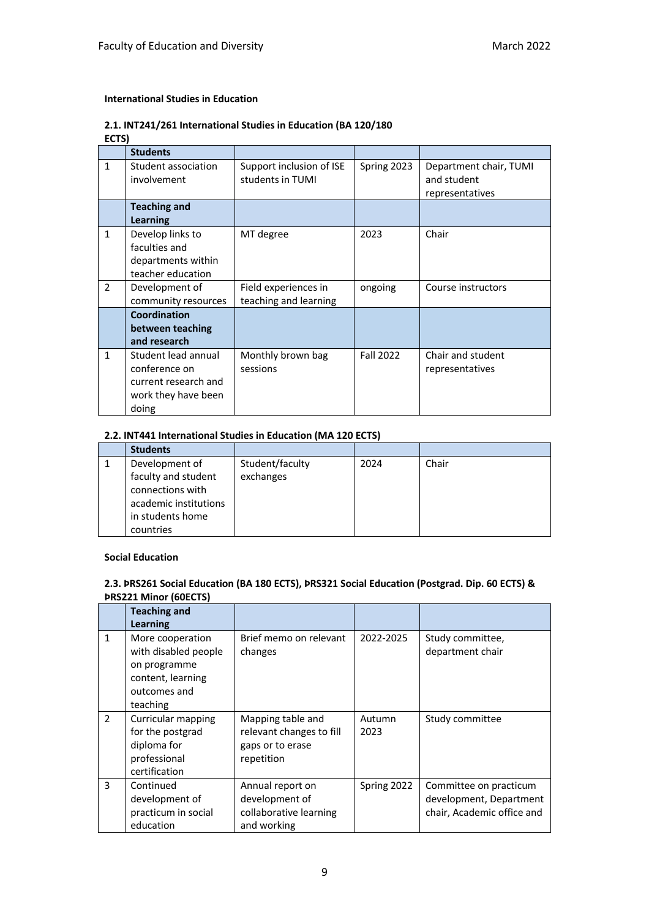#### **International Studies in Education**

## **2.1. INT241/261 International Studies in Education (BA 120/180**

**ECTS)**

|               | <b>Students</b>                                                                              |                                               |                  |                                                          |
|---------------|----------------------------------------------------------------------------------------------|-----------------------------------------------|------------------|----------------------------------------------------------|
| $\mathbf{1}$  | Student association<br>involvement                                                           | Support inclusion of ISE<br>students in TUMI  | Spring 2023      | Department chair, TUMI<br>and student<br>representatives |
|               | <b>Teaching and</b><br><b>Learning</b>                                                       |                                               |                  |                                                          |
| $\mathbf{1}$  | Develop links to<br>faculties and<br>departments within<br>teacher education                 | MT degree                                     | 2023             | Chair                                                    |
| $\mathcal{P}$ | Development of<br>community resources                                                        | Field experiences in<br>teaching and learning | ongoing          | Course instructors                                       |
|               | Coordination<br>between teaching<br>and research                                             |                                               |                  |                                                          |
| $\mathbf{1}$  | Student lead annual<br>conference on<br>current research and<br>work they have been<br>doing | Monthly brown bag<br>sessions                 | <b>Fall 2022</b> | Chair and student<br>representatives                     |

#### **2.2. INT441 International Studies in Education (MA 120 ECTS)**

| <b>Students</b>                                           |                              |      |       |
|-----------------------------------------------------------|------------------------------|------|-------|
| Development of<br>faculty and student<br>connections with | Student/faculty<br>exchanges | 2024 | Chair |
| academic institutions<br>in students home<br>countries    |                              |      |       |

#### **Social Education**

#### **2.3. ÞRS261 Social Education (BA 180 ECTS), ÞRS321 Social Education (Postgrad. Dip. 60 ECTS) & ÞRS221 Minor (60ECTS)**

|                | <b>Teaching and</b><br><b>Learning</b>                                                                    |                                                                                 |                |                                                                                 |
|----------------|-----------------------------------------------------------------------------------------------------------|---------------------------------------------------------------------------------|----------------|---------------------------------------------------------------------------------|
| $\mathbf{1}$   | More cooperation<br>with disabled people<br>on programme<br>content, learning<br>outcomes and<br>teaching | Brief memo on relevant<br>changes                                               | 2022-2025      | Study committee,<br>department chair                                            |
| $\overline{2}$ | Curricular mapping<br>for the postgrad<br>diploma for<br>professional<br>certification                    | Mapping table and<br>relevant changes to fill<br>gaps or to erase<br>repetition | Autumn<br>2023 | Study committee                                                                 |
| 3              | Continued<br>development of<br>practicum in social<br>education                                           | Annual report on<br>development of<br>collaborative learning<br>and working     | Spring 2022    | Committee on practicum<br>development, Department<br>chair, Academic office and |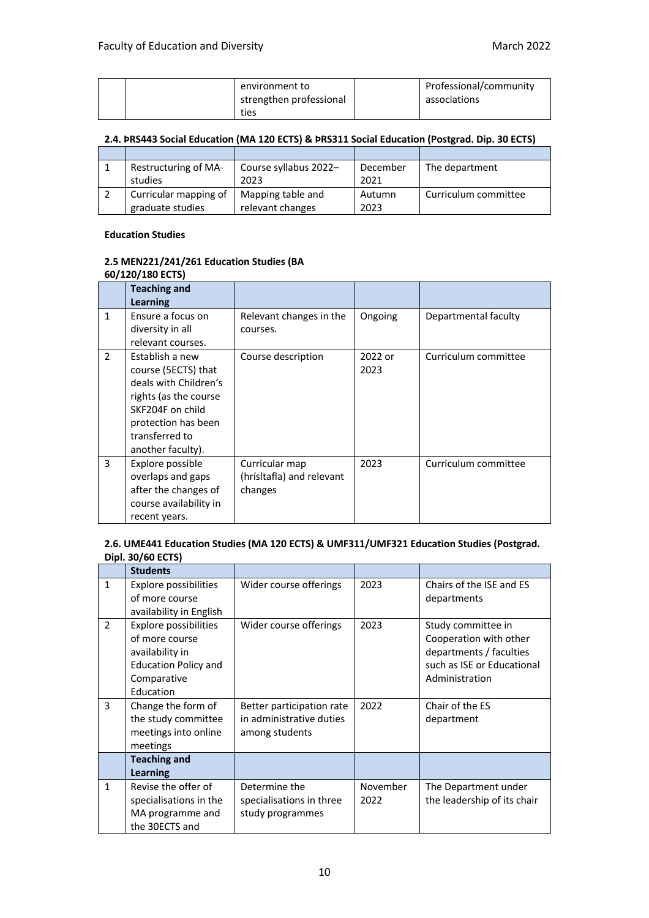|  | environment to          | Professional/community |
|--|-------------------------|------------------------|
|  | strengthen professional | associations           |
|  | ties                    |                        |

## **2.4. ÞRS443 Social Education (MA 120 ECTS) & ÞRS311 Social Education (Postgrad. Dip. 30 ECTS)**

| Restructuring of MA-  | Course syllabus 2022- | December | The department       |
|-----------------------|-----------------------|----------|----------------------|
| studies               | 2023                  | 2021     |                      |
| Curricular mapping of | Mapping table and     | Autumn   | Curriculum committee |
| graduate studies      | relevant changes      | 2023     |                      |

#### **Education Studies**

#### **2.5 MEN221/241/261 Education Studies (BA 60/120/180 ECTS)**

|               | 007 ILU7 IUU LUTUT                                                                                                                                                         |                                                        |                 |                      |  |
|---------------|----------------------------------------------------------------------------------------------------------------------------------------------------------------------------|--------------------------------------------------------|-----------------|----------------------|--|
|               | <b>Teaching and</b><br><b>Learning</b>                                                                                                                                     |                                                        |                 |                      |  |
| $\mathbf{1}$  | Ensure a focus on<br>diversity in all<br>relevant courses.                                                                                                                 | Relevant changes in the<br>courses.                    | Ongoing         | Departmental faculty |  |
| $\mathcal{P}$ | Establish a new<br>course (5ECTS) that<br>deals with Children's<br>rights (as the course<br>SKF204F on child<br>protection has been<br>transferred to<br>another faculty). | Course description                                     | 2022 or<br>2023 | Curriculum committee |  |
| 3             | Explore possible<br>overlaps and gaps<br>after the changes of<br>course availability in<br>recent years.                                                                   | Curricular map<br>(hrísltafla) and relevant<br>changes | 2023            | Curriculum committee |  |

### **2.6. UME441 Education Studies (MA 120 ECTS) & UMF311/UMF321 Education Studies (Postgrad. Dipl. 30/60 ECTS)**

|                | <b>Students</b>                                                                                                       |                                                                         |                  |                                                                                                                         |
|----------------|-----------------------------------------------------------------------------------------------------------------------|-------------------------------------------------------------------------|------------------|-------------------------------------------------------------------------------------------------------------------------|
| $\mathbf{1}$   | <b>Explore possibilities</b><br>of more course<br>availability in English                                             | Wider course offerings                                                  | 2023             | Chairs of the ISE and ES<br>departments                                                                                 |
| $\mathfrak{p}$ | Explore possibilities<br>of more course<br>availability in<br><b>Education Policy and</b><br>Comparative<br>Education | Wider course offerings                                                  | 2023             | Study committee in<br>Cooperation with other<br>departments / faculties<br>such as ISE or Educational<br>Administration |
| 3              | Change the form of<br>the study committee<br>meetings into online<br>meetings                                         | Better participation rate<br>in administrative duties<br>among students | 2022             | Chair of the ES<br>department                                                                                           |
|                | <b>Teaching and</b><br><b>Learning</b>                                                                                |                                                                         |                  |                                                                                                                         |
| $\mathbf{1}$   | Revise the offer of<br>specialisations in the<br>MA programme and<br>the 30ECTS and                                   | Determine the<br>specialisations in three<br>study programmes           | November<br>2022 | The Department under<br>the leadership of its chair                                                                     |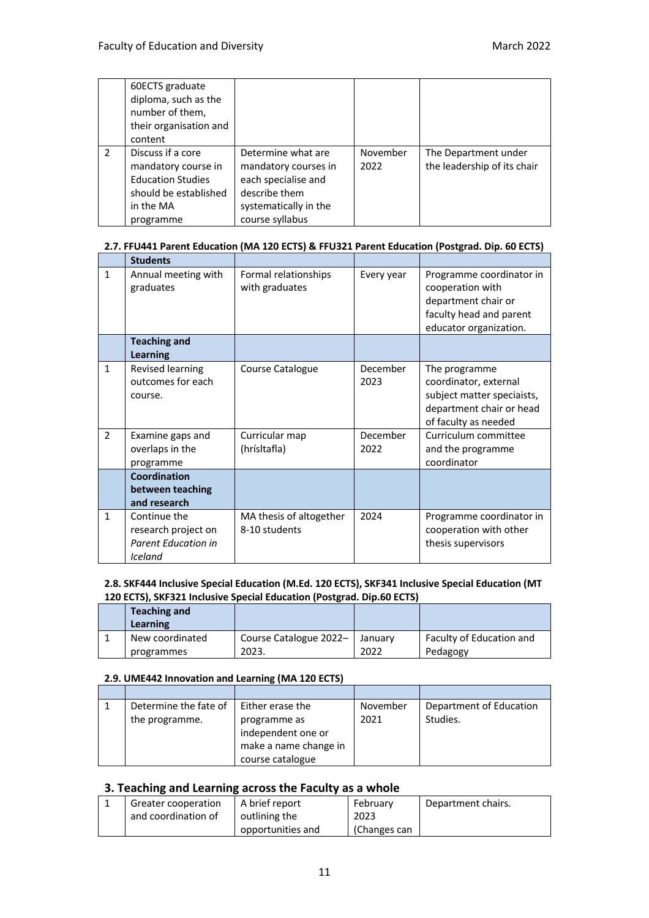|               | 60ECTS graduate<br>diploma, such as the<br>number of them,<br>their organisation and<br>content                         |                                                                                                                                |                  |                                                     |
|---------------|-------------------------------------------------------------------------------------------------------------------------|--------------------------------------------------------------------------------------------------------------------------------|------------------|-----------------------------------------------------|
| $\mathcal{P}$ | Discuss if a core<br>mandatory course in<br><b>Education Studies</b><br>should be established<br>in the MA<br>programme | Determine what are<br>mandatory courses in<br>each specialise and<br>describe them<br>systematically in the<br>course syllabus | November<br>2022 | The Department under<br>the leadership of its chair |

### **2.7. FFU441 Parent Education (MA 120 ECTS) & FFU321 Parent Education (Postgrad. Dip. 60 ECTS)**

|                | <b>Students</b>                                                              |                                          |                  |                                                                                                                          |
|----------------|------------------------------------------------------------------------------|------------------------------------------|------------------|--------------------------------------------------------------------------------------------------------------------------|
| $\mathbf{1}$   | Annual meeting with<br>graduates                                             | Formal relationships<br>with graduates   | Every year       | Programme coordinator in<br>cooperation with<br>department chair or<br>faculty head and parent<br>educator organization. |
|                | <b>Teaching and</b>                                                          |                                          |                  |                                                                                                                          |
|                | <b>Learning</b>                                                              |                                          |                  |                                                                                                                          |
| $\mathbf{1}$   | Revised learning<br>outcomes for each<br>course.                             | Course Catalogue                         | December<br>2023 | The programme<br>coordinator, external<br>subject matter speciaists,<br>department chair or head<br>of faculty as needed |
| $\overline{2}$ | Examine gaps and<br>overlaps in the<br>programme                             | Curricular map<br>(hrísltafla)           | December<br>2022 | Curriculum committee<br>and the programme<br>coordinator                                                                 |
|                | <b>Coordination</b><br>between teaching<br>and research                      |                                          |                  |                                                                                                                          |
| $\mathbf{1}$   | Continue the<br>research project on<br><b>Parent Education in</b><br>Iceland | MA thesis of altogether<br>8-10 students | 2024             | Programme coordinator in<br>cooperation with other<br>thesis supervisors                                                 |

#### **2.8. SKF444 Inclusive Special Education (M.Ed. 120 ECTS), SKF341 Inclusive Special Education (MT 120 ECTS), SKF321 Inclusive Special Education (Postgrad. Dip.60 ECTS)**

| <b>Teaching and</b><br>Learning |                                  |      |                          |
|---------------------------------|----------------------------------|------|--------------------------|
| New coordinated                 | Course Catalogue 2022-   January |      | Faculty of Education and |
| programmes                      | 2023.                            | 2022 | Pedagogy                 |

### **2.9. UME442 Innovation and Learning (MA 120 ECTS)**

| Determine the fate of | Either erase the      | November | Department of Education |
|-----------------------|-----------------------|----------|-------------------------|
| the programme.        | programme as          | 2021     | Studies.                |
|                       | independent one or    |          |                         |
|                       | make a name change in |          |                         |
|                       | course catalogue      |          |                         |

### **3. Teaching and Learning across the Faculty as a whole**

| Greater cooperation | A brief report    | February     | Department chairs. |
|---------------------|-------------------|--------------|--------------------|
|                     |                   |              |                    |
| and coordination of | outlining the     | 2023         |                    |
|                     |                   |              |                    |
|                     | opportunities and | (Changes can |                    |